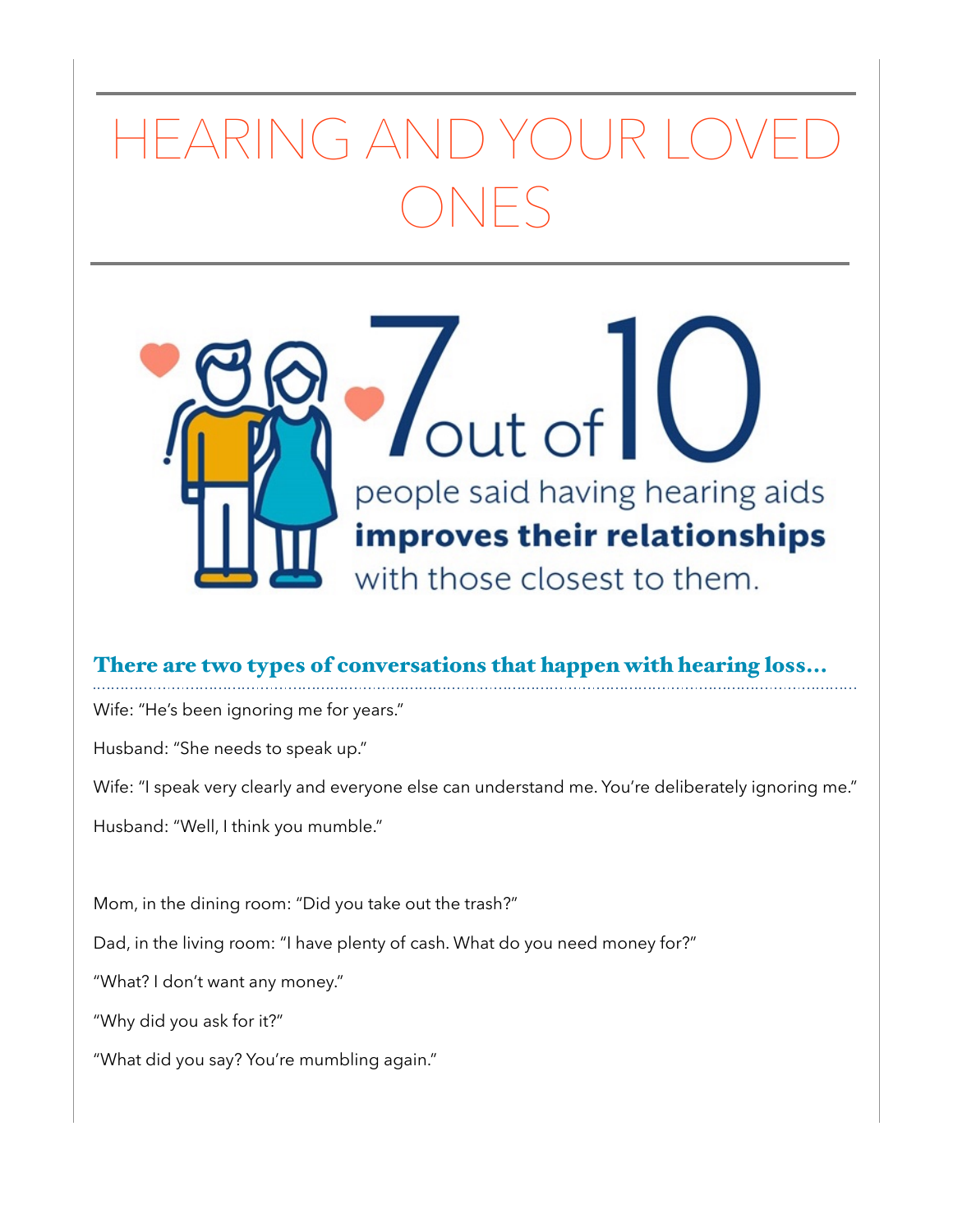## HEARING AND YOUR LOVED ONES



## There are two types of conversations that happen with hearing loss...

Wife: "He's been ignoring me for years."

Husband: "She needs to speak up."

Wife: "I speak very clearly and everyone else can understand me. You're deliberately ignoring me."

Husband: "Well, I think you mumble."

Mom, in the dining room: "Did you take out the trash?"

Dad, in the living room: "I have plenty of cash. What do you need money for?"

"What? I don't want any money."

"Why did you ask for it?"

"What did you say? You're mumbling again."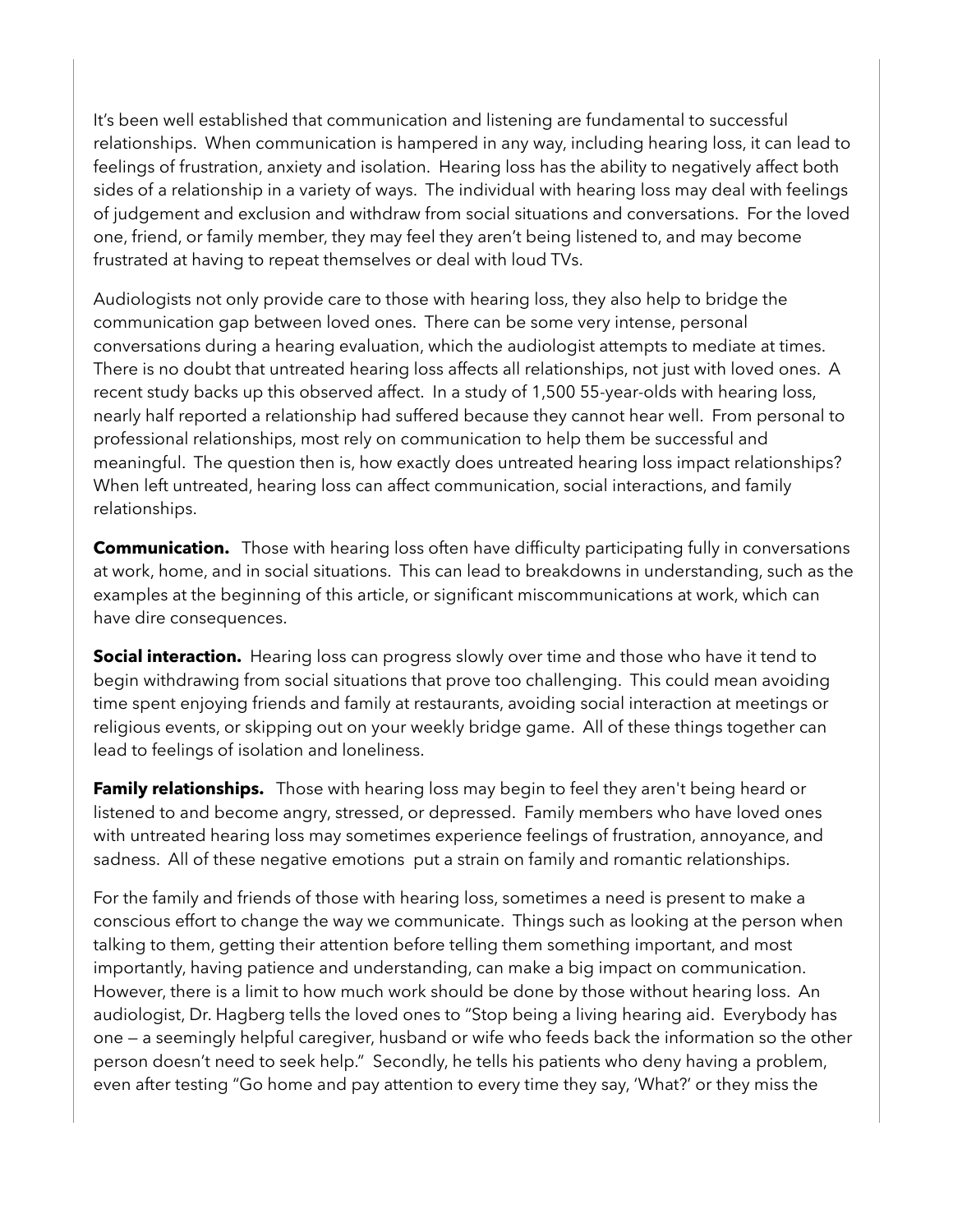It's been well established that communication and listening are fundamental to successful relationships. When communication is hampered in any way, including hearing loss, it can lead to feelings of frustration, anxiety and isolation. Hearing loss has the ability to negatively affect both sides of a relationship in a variety of ways. The individual with hearing loss may deal with feelings of judgement and exclusion and withdraw from social situations and conversations. For the loved one, friend, or family member, they may feel they aren't being listened to, and may become frustrated at having to repeat themselves or deal with loud TVs.

Audiologists not only provide care to those with hearing loss, they also help to bridge the communication gap between loved ones. There can be some very intense, personal conversations during a hearing evaluation, which the audiologist attempts to mediate at times. There is no doubt that untreated hearing loss affects all relationships, not just with loved ones. A recent study backs up this observed affect. In a study of 1,500 55-year-olds with hearing loss, nearly half reported a relationship had suffered because they cannot hear well. From personal to professional relationships, most rely on communication to help them be successful and meaningful. The question then is, how exactly does untreated hearing loss impact relationships? When left untreated, hearing loss can affect communication, social interactions, and family relationships.

**Communication.** Those with hearing loss often have difficulty participating fully in conversations at work, home, and in social situations. This can lead to breakdowns in understanding, such as the examples at the beginning of this article, or significant miscommunications at work, which can have dire consequences.

**Social interaction.** Hearing loss can progress slowly over time and those who have it tend to begin withdrawing from social situations that prove too challenging. This could mean avoiding time spent enjoying friends and family at restaurants, avoiding social interaction at meetings or religious events, or skipping out on your weekly bridge game. All of these things together can lead to feelings of isolation and loneliness.

**Family relationships.** Those with hearing loss may begin to feel they aren't being heard or listened to and become angry, stressed, or depressed. Family members who have loved ones with untreated hearing loss may sometimes experience feelings of frustration, annoyance, and sadness. All of these negative emotions put a strain on [family and romantic relationships](https://www.healthyhearing.com/report/52619-The-impact-of-hearing-loss-on-relationships).

For the family and friends of those with hearing loss, sometimes a need is present to make a conscious effort to change the way we communicate. Things such as looking at the person when talking to them, getting their attention before telling them something important, and most importantly, having patience and understanding, can make a big impact on communication. However, there is a limit to how much work should be done by those without hearing loss. An audiologist, Dr. Hagberg tells the loved ones to "Stop being a living hearing aid. Everybody has one — a seemingly helpful caregiver, husband or wife who feeds back the information so the other person doesn't need to seek help." Secondly, he tells his patients who deny having a problem, even after testing "Go home and pay attention to every time they say, 'What?' or they miss the